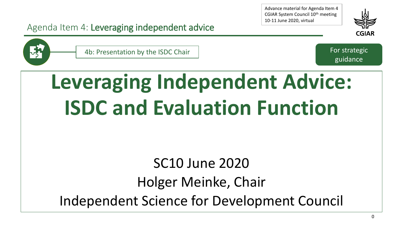Advance material for Agenda Item 4 CGIAR System Council 10th meeting 10-11 June 2020, virtual





4b: Presentation by the ISDC Chair For strategic

Agenda Item 4: Leveraging independent advice

guidance

# **Leveraging Independent Advice: ISDC and Evaluation Function**

# SC10 June 2020 Holger Meinke, Chair Independent Science for Development Council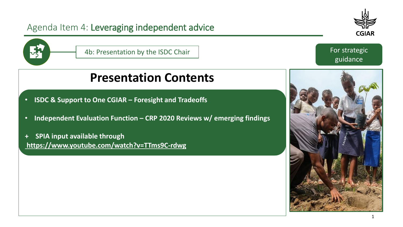



guidance

# **Presentation Contents**

- **ISDC & Support to One CGIAR – Foresight and Tradeoffs**
- **Independent Evaluation Function – CRP 2020 Reviews w/ emerging findings**
- **+ SPIA input available through <https://www.youtube.com/watch?v=TTms9C-rdwg>**

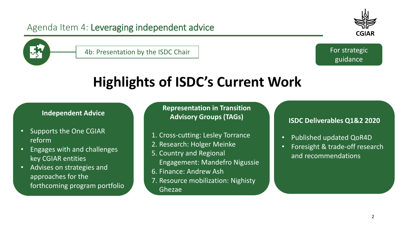



4b: Presentation by the ISDC Chair For strategic Equation by the ISDC Chair

guidance

# **Highlights of ISDC's Current Work**

#### **Independent Advice**

- Supports the One CGIAR reform
- Engages with and challenges key CGIAR entities
- Advises on strategies and approaches for the forthcoming program portfolio

**Representation in Transition Advisory Groups (TAGs)**

- 1. Cross-cutting: Lesley Torrance
- 2. Research: Holger Meinke
- 5. Country and Regional Engagement: Mandefro Nigussie
- 6. Finance: Andrew Ash
- 7. Resource mobilization: Nighisty

Ghezae

#### **ISDC Deliverables Q1&2 2020**

- Published updated QoR4D
- Foresight & trade-off research and recommendations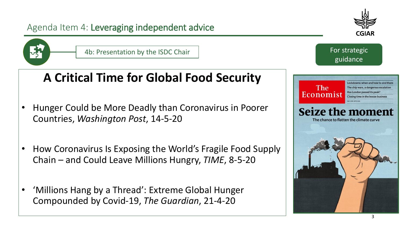



4b: Presentation by the ISDC Chair For strategic Equation by the ISDC Chair

# **A Critical Time for Global Food Security**

- Hunger Could be More Deadly than Coronavirus in Poorer Countries, *Washington Post*, 14-5-20
- How Coronavirus Is Exposing the World's Fragile Food Supply Chain – and Could Leave Millions Hungry, *TIME*, 8-5-20
- 'Millions Hang by a Thread': Extreme Global Hunger Compounded by Covid-19, *The Guardian*, 21-4-20

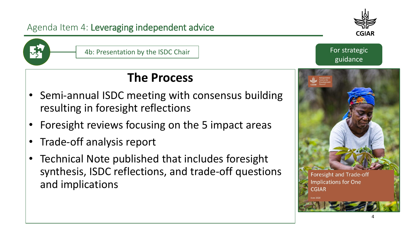

### **The Process**

- Semi-annual ISDC meeting with consensus building resulting in foresight reflections
- Foresight reviews focusing on the 5 impact areas
- Trade-off analysis report
- Technical Note published that includes foresight synthesis, ISDC reflections, and trade-off questions and implications



guidance



**Foresight and Trade-off Implications for One**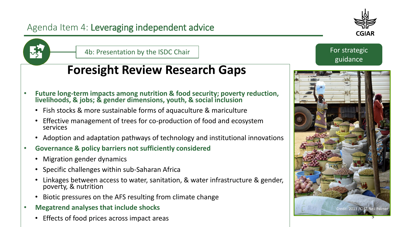



4b: Presentation by the ISDC Chair For strategic Equation by the ISDC Chair

# **Foresight Review Research Gaps**

- **Future long-term impacts among nutrition & food security; poverty reduction, livelihoods, & jobs; & gender dimensions, youth, & social inclusion**
	- Fish stocks & more sustainable forms of aquaculture & mariculture
	- Effective management of trees for co-production of food and ecosystem services
	- Adoption and adaptation pathways of technology and institutional innovations
- **Governance & policy barriers not sufficiently considered**
	- Migration gender dynamics
	- Specific challenges within sub-Saharan Africa
	- Linkages between access to water, sanitation, & water infrastructure & gender, poverty, & nutrition
	- Biotic pressures on the AFS resulting from climate change
- **Megatrend analyses that include shocks**
	- Effects of food prices across impact areas



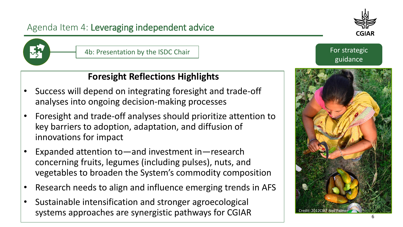

4b: Presentation by the ISDC Chair For strategic Equation by the ISDC Chair

#### **Foresight Reflections Highlights**

- Success will depend on integrating foresight and trade-off analyses into ongoing decision-making processes
- Foresight and trade-off analyses should prioritize attention to key barriers to adoption, adaptation, and diffusion of innovations for impact
- Expanded attention to—and investment in—research concerning fruits, legumes (including pulses), nuts, and vegetables to broaden the System's commodity composition
- Research needs to align and influence emerging trends in AFS
- Sustainable intensification and stronger agroecological systems approaches are synergistic pathways for CGIAR



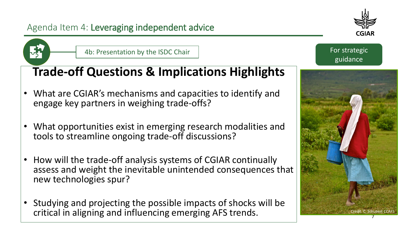



4b: Presentation by the ISDC Chair For strategic Equation by the ISDC Chair

# **Trade-off Questions & Implications Highlights**

- What are CGIAR's mechanisms and capacities to identify and engage key partners in weighing trade-offs?
- What opportunities exist in emerging research modalities and tools to streamline ongoing trade-off discussions?
- How will the trade-off analysis systems of CGIAR continually assess and weight the inevitable unintended consequences that new technologies spur?
- Studying and projecting the possible impacts of shocks will be critical in aligning and influencing emerging AFS trends.

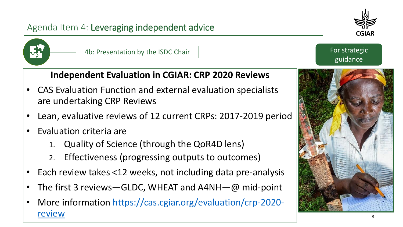

#### **Independent Evaluation in CGIAR: CRP 2020 Reviews**

- CAS Evaluation Function and external evaluation specialists are undertaking CRP Reviews
- Lean, evaluative reviews of 12 current CRPs: 2017-2019 period
- Evaluation criteria are
	- 1. Quality of Science (through the QoR4D lens)
	- 2. Effectiveness (progressing outputs to outcomes)
- Each review takes <12 weeks, not including data pre-analysis
- The first 3 reviews GLDC, WHEAT and  $A4NH$   $@$  mid-point
- [More information https://cas.cgiar.org/evaluation/crp-2020](https://cas.cgiar.org/evaluation/crp-2020-review) review



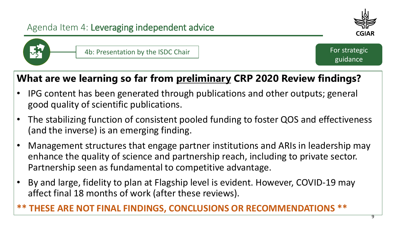



4b: Presentation by the ISDC Chair For strategic Equation by the ISDC Chair

guidance

# **What are we learning so far from preliminary CRP 2020 Review findings?**

- IPG content has been generated through publications and other outputs; general good quality of scientific publications.
- The stabilizing function of consistent pooled funding to foster QOS and effectiveness (and the inverse) is an emerging finding.
- Management structures that engage partner institutions and ARIs in leadership may enhance the quality of science and partnership reach, including to private sector. Partnership seen as fundamental to competitive advantage.
- By and large, fidelity to plan at Flagship level is evident. However, COVID-19 may affect final 18 months of work (after these reviews).

#### **\*\* THESE ARE NOT FINAL FINDINGS, CONCLUSIONS OR RECOMMENDATIONS \*\***